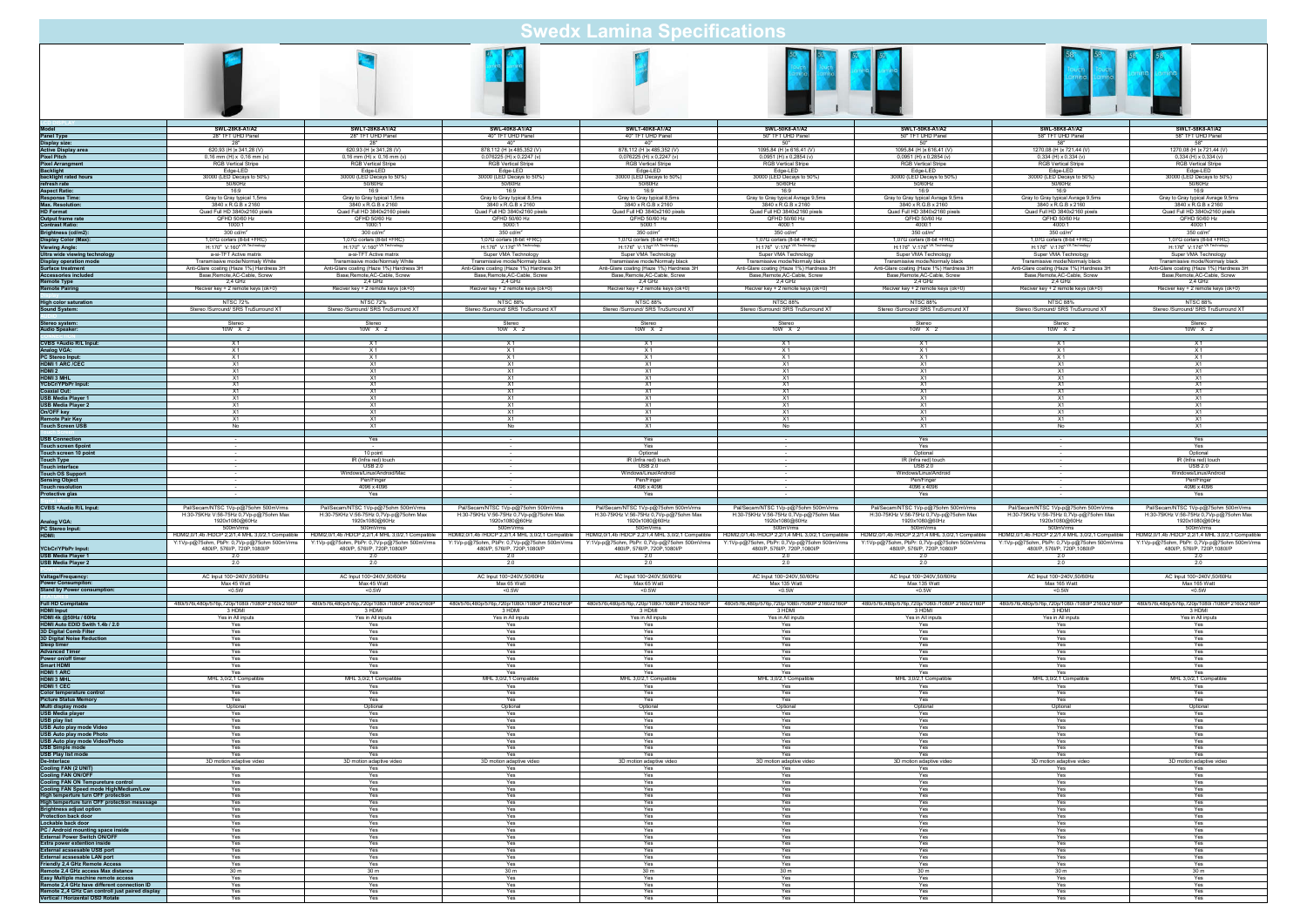| <b>Swedx Lamina Specifications</b>                                                                                                                                           |                                                                                     |                                                                                     |                                                                                     |                                                                              |                                                                                     |                                                                                                                                                                                                                                           |                                                                                                  |                                                                                                  |  |
|------------------------------------------------------------------------------------------------------------------------------------------------------------------------------|-------------------------------------------------------------------------------------|-------------------------------------------------------------------------------------|-------------------------------------------------------------------------------------|------------------------------------------------------------------------------|-------------------------------------------------------------------------------------|-------------------------------------------------------------------------------------------------------------------------------------------------------------------------------------------------------------------------------------------|--------------------------------------------------------------------------------------------------|--------------------------------------------------------------------------------------------------|--|
|                                                                                                                                                                              |                                                                                     |                                                                                     |                                                                                     |                                                                              |                                                                                     |                                                                                                                                                                                                                                           |                                                                                                  |                                                                                                  |  |
| Model<br>Panel Type                                                                                                                                                          | SWL-28K8-A1/A2                                                                      | SWLT-28K8-A1/A2                                                                     | SWL-40K8-A1/A2                                                                      | SWLT-40K8-A1/A2                                                              | SWL-50K8-A1/A2                                                                      | SWLT-50K8-A1/A2                                                                                                                                                                                                                           | SWL-58K8-A1/A2                                                                                   | <b>SWLT-58K8-A1/A2</b>                                                                           |  |
|                                                                                                                                                                              | 28" TFT UHD Panel                                                                   | 28" TFT UHD Panel                                                                   | 40" TFT UHD Panel                                                                   | 40" TFT UHD Panel                                                            | 50" TFT UHD Panel                                                                   | 50" TFT UHD Panel                                                                                                                                                                                                                         | 58" TFT UHD Panel                                                                                | 58" TFT UHD Panel                                                                                |  |
| Display size:<br>Active Display area                                                                                                                                         | 28"                                                                                 | 28"                                                                                 | 40"                                                                                 | 40"                                                                          | 50"                                                                                 | 50"                                                                                                                                                                                                                                       | 58"                                                                                              | 58"                                                                                              |  |
|                                                                                                                                                                              | 620,93 (H)x 341,28 (V)                                                              | 620,93 (H) x 341,28 (V)                                                             | 878,112 (H) x 485,352 (V)                                                           | 878,112 (H) x 485,352 (V)                                                    | 1095,84 (H) x 616,41 (V)                                                            | 1095.84 (H) x 616.41 (V)                                                                                                                                                                                                                  | 1270,08 (H) x 721,44 (V)                                                                         | 1270,08 (H) x 721,44 (V)                                                                         |  |
| Pixel Pitch<br>Pixel Arrangment<br>Backlight                                                                                                                                 | 0,16 mm (H) x 0,16 mm (v)                                                           | 0,16 mm (H) x 0,16 mm (v)                                                           | $0,076225$ (H) x $0,2247$ (v)                                                       | 0,076225 (H) x 0,2247 (v)                                                    | 0,0951 (H) x 0,2854 (v)                                                             | 0,0951 (H) x 0,2854 (v)                                                                                                                                                                                                                   | $0,334$ (H) x $0,334$ (v)                                                                        | $0,334$ (H) $\times$ 0,334 (v)                                                                   |  |
|                                                                                                                                                                              | <b>RGB Vertical Stripe</b>                                                          | <b>RGB Vertical Stripe</b>                                                          | RGB Vertical Stripe                                                                 | <b>RGB Vertical Stripe</b>                                                   | <b>RGB Vertical Stripe</b>                                                          | <b>RGB Vertical Stripe</b>                                                                                                                                                                                                                | <b>RGB Vertical Stripe</b>                                                                       | <b>RGB Vertical Stripe</b>                                                                       |  |
|                                                                                                                                                                              | Edge-LED<br>30000 (LED Decays to 50%)                                               | Edge-LED<br>30000 (LED Decays to 50%)                                               | Edge-LED<br>30000 (LED Decays to 50%)                                               | Edge-LED<br>30000 (LED Decays to 50%)                                        | Edge-LED                                                                            | Edge-LED<br>30000 (LED Decays to 50%)                                                                                                                                                                                                     | Edge-LED<br>30000 (LED Decays to 50%)                                                            | Edge-LED<br>30000 (LED Decays to 50%)                                                            |  |
| backlight rated hours<br>refresh rate                                                                                                                                        | 50/60Hz                                                                             | 50/60Hz                                                                             | 50/60Hz                                                                             | 50/60Hz                                                                      | 30000 (LED Decays to 50%)<br>50/60Hz                                                | 50/60Hz                                                                                                                                                                                                                                   | 50/60Hz                                                                                          | 50/60Hz                                                                                          |  |
| <b>Aspect Ratio:</b>                                                                                                                                                         | 16:9                                                                                | 16:9                                                                                | 16:9                                                                                | 16:9                                                                         | 16:9                                                                                | 16:9                                                                                                                                                                                                                                      | 16:9                                                                                             | 16:9                                                                                             |  |
| Response Time:                                                                                                                                                               | Gray to Gray typical 1,5ms                                                          | Gray to Gray typical 1,5ms                                                          | Gray to Gray typical 8,5ms                                                          | Gray to Gray typical 8,5ms                                                   | Gray to Gray typical Avrage 9,5ms                                                   | Gray to Gray typical Avrage 9,5ms                                                                                                                                                                                                         | Gray to Gray typical Avrage 9,5ms                                                                | Gray to Gray typical Avrage 9,5ms                                                                |  |
| <b>Max. Resolution:</b>                                                                                                                                                      | 3840 x R.G.B x 2160                                                                 | 3840 x R.G.B x 2160                                                                 | 3840 x R.G.B x 2160                                                                 | 3840 x R.G.B x 2160                                                          | 3840 x R.G.B x 2160                                                                 | 3840 x R.G.B x 2160                                                                                                                                                                                                                       | 3840 x R.G.B x 2160                                                                              | 3840 x R.G.B x 2160                                                                              |  |
| <b>HD Format</b>                                                                                                                                                             | Quad Full HD 3840x2160 pixels                                                       | Quad Full HD 3840x2160 pixels                                                       | Quad Full HD 3840x2160 pixels                                                       | Quad Full HD 3840x2160 pixels                                                | Quad Full HD 3840x2160 pixel:                                                       | Quad Full HD 3840x2160 pixels                                                                                                                                                                                                             | Quad Full HD 3840x2160 pixels                                                                    | Quad Full HD 3840x2160 pixels                                                                    |  |
| Output frame rate                                                                                                                                                            | QFHD 50/60 Hz                                                                       | QFHD 50/60 Hz                                                                       | QFHD 50/60 Hz                                                                       | QFHD 50/60 Hz                                                                | QFHD 50/60 Hz                                                                       | QFHD 50/60 Hz                                                                                                                                                                                                                             | QFHD 50/60 Hz                                                                                    | QFHD 50/60 Hz                                                                                    |  |
| <b>Contrast Ratio:</b>                                                                                                                                                       | 1000:1                                                                              | 1000:1                                                                              | 5000:1                                                                              | 5000:1                                                                       | 4000:1                                                                              | 4000:1                                                                                                                                                                                                                                    | 4000:1                                                                                           | 4000:1                                                                                           |  |
| Brightness (cd/m2):                                                                                                                                                          | 300 $cd/m2$                                                                         | 300 $cd/m2$                                                                         | $350 \text{ cd/m}^2$                                                                | $350 \text{ cd/m}^2$                                                         | 350 cd/m <sup>2</sup>                                                               | $350 \text{ cd/m}^2$                                                                                                                                                                                                                      | $350 \text{ cd/m}^2$                                                                             | $350 \text{ cd/m}^2$                                                                             |  |
| Display Color (Max):                                                                                                                                                         | 1.07G corlars (8-bit +FRC)                                                          | 1.07G corlars (8-bit +FRC)                                                          | 1.07G corlars (8-bit +FRC)                                                          | 1.07G corlars (8-bit +FRC)                                                   | 1.07G corlars (8-bit +FRC)                                                          | 1.07G corlars (8-bit +FRC)                                                                                                                                                                                                                | 1.07G corlars (8-bit +FRC)                                                                       | 1.07G corlars (8-bit +FRC)                                                                       |  |
| <b>Viewing Angle:</b>                                                                                                                                                        | H:170° V:160° VA Technolog                                                          | H:170° V:160° VA Technolog                                                          | H:176° V:176° VA Technolog                                                          | H:176° V:176° VA Technolog                                                   | H:176° V:176° VA Techni                                                             | H:176° V:176° VA Technolog                                                                                                                                                                                                                | H:176° V:176° VA Technol                                                                         | H:176° V:176° VA Technology                                                                      |  |
| Ultra wide viewing technology                                                                                                                                                | a-si-TFT Active matrix                                                              | a-si-TFT Active matrix                                                              | Super VMA Technology                                                                | Super VMA Technology                                                         | Super VMA Technology                                                                | Super VMA Technology                                                                                                                                                                                                                      | Super VMA Technology                                                                             | Super VMA Technology                                                                             |  |
| Display operation mode<br>Surface treatment                                                                                                                                  | Transmissive mode/Normaly White                                                     | Transmissive mode/Normaly White                                                     | Transmissive mode/Normaly black                                                     | Transmissive mode/Normaly black                                              | Transmissive mode/Normaly black                                                     | Transmissive mode/Normaly black                                                                                                                                                                                                           | Transmissive mode/Normaly black                                                                  | Transmissive mode/Normaly black                                                                  |  |
|                                                                                                                                                                              | Anti-Glare coating (Haze 1%) Hardness 3H                                            | Anti-Glare coating (Haze 1%) Hardness 3H                                            | Anti-Glare coating (Haze 1%) Hardness 3H                                            | Anti-Glare coating (Haze 1%) Hardness 3H                                     | Anti-Glare coating (Haze 1%) Hardness 3H                                            | Anti-Glare coating (Haze 1%) Hardness 3H                                                                                                                                                                                                  | Anti-Glare coating (Haze 1%) Hardness 3H                                                         | Anti-Glare coating (Haze 1%) Hardness 3H                                                         |  |
| <b>Accessories included</b><br>Remote Type                                                                                                                                   | Base, Remote, AC-Cable, Screw                                                       | Base, Remote, AC-Cable, Screw                                                       | Base, Remote, AC-Cable, Screw                                                       | Base, Remote, AC-Cable, Screw                                                | Base, Remote, AC-Cable, Screw                                                       | Base, Remote, AC-Cable, Screw                                                                                                                                                                                                             | Base, Remote, AC-Cable, Screw                                                                    | Base, Remote, AC-Cable, Screw                                                                    |  |
|                                                                                                                                                                              | 2,4 GHz                                                                             | 2.4 GHz                                                                             | 2,4 GHz                                                                             | 2,4 GHz                                                                      | 2,4 GHz                                                                             | 2,4 GHz                                                                                                                                                                                                                                   | 2,4 GHz                                                                                          | 2,4 GHz                                                                                          |  |
| <b>Remote Pairing</b>                                                                                                                                                        | Reciver key + 2 remote keys (ok+0)                                                  | Reciver key + 2 remote keys (ok+0)                                                  | Reciver key + 2 remote keys (ok+0)                                                  | Reciver key + 2 remote keys (ok+0)                                           | Reciver key + 2 remote keys (ok+0)                                                  | Reciver key + 2 remote keys (ok+0)                                                                                                                                                                                                        | Reciver key + 2 remote keys (ok+0)                                                               | Reciver key + 2 remote keys (ok+0)                                                               |  |
| <b>High color saturation</b>                                                                                                                                                 | <b>NTSC 72%</b>                                                                     | <b>NTSC 72%</b>                                                                     | <b>NTSC 88%</b>                                                                     | <b>NTSC 88%</b>                                                              | <b>NTSC 88%</b>                                                                     | <b>NTSC 88%</b>                                                                                                                                                                                                                           | <b>NTSC 88%</b>                                                                                  | <b>NTSC 88%</b>                                                                                  |  |
| <b>Sound System:</b>                                                                                                                                                         | Stereo /Surround/ SRS TruSurround XT                                                | Stereo /Surround/ SRS TruSurround XT                                                | Stereo /Surround/ SRS TruSurround XT                                                | Stereo /Surround/ SRS TruSurround XT                                         | Stereo /Surround/ SRS TruSurround XT                                                | Stereo /Surround/ SRS TruSurround XT                                                                                                                                                                                                      | Stereo /Surround/ SRS TruSurround XT                                                             | Stereo /Surround/ SRS TruSurround XT                                                             |  |
| Stereo system:                                                                                                                                                               | Stereo                                                                              | Stereo                                                                              | Stereo                                                                              | Stereo                                                                       | Stereo                                                                              | Stereo                                                                                                                                                                                                                                    | Stereo                                                                                           | Stereo                                                                                           |  |
| <b>Audio Speaker:</b>                                                                                                                                                        | 10W X 2                                                                             | 10W X 2                                                                             | 10W X 2                                                                             | 10W X 2                                                                      | 10W X 2                                                                             | 10W X 2                                                                                                                                                                                                                                   | 10W X 2                                                                                          | 10W X 2                                                                                          |  |
| <b>CVBS +Audio R/L Input:</b>                                                                                                                                                | X1                                                                                  | X1                                                                                  | X1                                                                                  | X1                                                                           | X1                                                                                  | X1                                                                                                                                                                                                                                        | X1                                                                                               | X1                                                                                               |  |
|                                                                                                                                                                              | X1                                                                                  | X1                                                                                  | X1                                                                                  | X1                                                                           | X <sub>1</sub>                                                                      | X <sub>1</sub>                                                                                                                                                                                                                            | X1                                                                                               | X1                                                                                               |  |
| Analog VGA:<br>PC Stereo Input:                                                                                                                                              | X <sub>1</sub>                                                                      | X1                                                                                  | X1                                                                                  | X1                                                                           | X1                                                                                  | X <sub>1</sub>                                                                                                                                                                                                                            | X1                                                                                               | X1                                                                                               |  |
| <b>HDMI1 ARC/CEC</b>                                                                                                                                                         | X1                                                                                  | <b>X1</b>                                                                           | X1                                                                                  | X1                                                                           | <b>X1</b>                                                                           | <b>X1</b>                                                                                                                                                                                                                                 | X1                                                                                               | X1                                                                                               |  |
| HDMI 2                                                                                                                                                                       | X1                                                                                  | X1                                                                                  | X1                                                                                  | X1                                                                           | X1                                                                                  | X1                                                                                                                                                                                                                                        | X1                                                                                               | X1                                                                                               |  |
| <b>HDMI3 MHL</b>                                                                                                                                                             | X1                                                                                  | X1                                                                                  | X1                                                                                  | X <sub>1</sub>                                                               | X1                                                                                  | X1                                                                                                                                                                                                                                        | X1                                                                                               | X1                                                                                               |  |
| YCbCr/YPbPr Input:                                                                                                                                                           | X1                                                                                  | X1                                                                                  | X1                                                                                  | X1                                                                           | <b>X1</b>                                                                           | X1                                                                                                                                                                                                                                        | <b>X1</b>                                                                                        | X1                                                                                               |  |
| <b>Coaxial Out:</b>                                                                                                                                                          | X1                                                                                  | X1                                                                                  | X1                                                                                  | X1                                                                           | X1                                                                                  | X <sub>1</sub>                                                                                                                                                                                                                            | X1                                                                                               | X1                                                                                               |  |
| <b>USB Media Player 1</b>                                                                                                                                                    | X1                                                                                  | X1                                                                                  | <b>X1</b>                                                                           | <b>X1</b>                                                                    | X1                                                                                  | <b>X1</b>                                                                                                                                                                                                                                 | <b>X1</b>                                                                                        | X1                                                                                               |  |
| <b>USB Media Player 2</b>                                                                                                                                                    | X1                                                                                  | <b>X1</b>                                                                           | <b>X1</b>                                                                           | X1                                                                           | <b>X1</b>                                                                           | <b>X1</b>                                                                                                                                                                                                                                 | <b>X1</b>                                                                                        | X1                                                                                               |  |
| On/OFF key                                                                                                                                                                   | X1                                                                                  | X1                                                                                  | X1                                                                                  | X1                                                                           | X1                                                                                  | X1                                                                                                                                                                                                                                        | <b>X1</b>                                                                                        | X1                                                                                               |  |
| Remote Pair Key                                                                                                                                                              | X1                                                                                  | X1                                                                                  | X1                                                                                  | X1                                                                           | X1                                                                                  | X1                                                                                                                                                                                                                                        | X1                                                                                               | X1                                                                                               |  |
| <b>Touch Screen USB</b>                                                                                                                                                      | <b>No</b>                                                                           | X1                                                                                  | No                                                                                  | X1                                                                           | No                                                                                  | X1                                                                                                                                                                                                                                        | <b>No</b>                                                                                        | X1                                                                                               |  |
| <b>USB Connection</b>                                                                                                                                                        |                                                                                     | Yes                                                                                 |                                                                                     | Yes<br>Yes                                                                   |                                                                                     | Yes<br>Yes                                                                                                                                                                                                                                |                                                                                                  | Yes<br>Yes                                                                                       |  |
| Touch screen 6point<br>Touch screen 10 point<br><b>Touch Type</b>                                                                                                            |                                                                                     | 10 point<br>IR (Infra red) touch                                                    |                                                                                     | Optional<br>IR (Infra red) touch                                             |                                                                                     | Optional<br>IR (Infra red) touch                                                                                                                                                                                                          |                                                                                                  | Optional<br>IR (Infra red) touch                                                                 |  |
| <b>Touch interface</b>                                                                                                                                                       | $\sim$                                                                              | <b>USB 2.0</b>                                                                      | $\sim$                                                                              | <b>USB 2.0</b>                                                               | $\sim$                                                                              | <b>USB 2.0</b>                                                                                                                                                                                                                            | $\sim$                                                                                           | <b>USB 2.0</b>                                                                                   |  |
| <b>Touch OS Support</b>                                                                                                                                                      | $\sim$                                                                              | Windows/Linux/Android/Mac                                                           | $\sim$ 100 $\mu$                                                                    | Windows/Linux/Android                                                        | $\sim$ 100 $\pm$                                                                    | Windows/Linux/Android                                                                                                                                                                                                                     | $\sim$                                                                                           | Windows/Linux/Android                                                                            |  |
| <b>Sensing Object</b>                                                                                                                                                        | $\sim$                                                                              | Pen/Finger                                                                          | $\sim$                                                                              | Pen/Finger                                                                   | $\sim$                                                                              | Pen/Finger                                                                                                                                                                                                                                | $\sim$                                                                                           | Pen/Finger                                                                                       |  |
| <b>Touch resolution</b>                                                                                                                                                      | $\sim 100$                                                                          | 4096 x 4096                                                                         | $\sim$ 100 $\mu$                                                                    | 4096 x 4096                                                                  | $\sim 100$                                                                          | 4096 x 4096                                                                                                                                                                                                                               | $\sim 100$                                                                                       | 4096 x 4096                                                                                      |  |
| <b>Protective glas</b>                                                                                                                                                       |                                                                                     | Yes                                                                                 |                                                                                     | Yes                                                                          |                                                                                     | Yes                                                                                                                                                                                                                                       |                                                                                                  | Yes                                                                                              |  |
| CVBS +Audio R/L Inp                                                                                                                                                          | Pal/Secam/NTSC 1Vp-p@75ohm 500mVrms                                                 | Pal/Secam/NTSC 1Vp-p@75phm 500mVrms                                                 | Pal/Secam/NTSC 1Vp-p@75ohm 500mVrms                                                 | Pal/Secam/NTSC 1Vp-p@75ohm 500mVrms                                          | Pal/Secam/NTSC 1Vp-p@75phm 500mVrms                                                 | Pal/Secam/NTSC 1Vp-p@75ohm 500mVrms                                                                                                                                                                                                       | Pal/Secam/NTSC 1Vp-p@75ohm 500mVrms                                                              | Pal/Secam/NTSC 1Vp-p@75ohm 500mVrms                                                              |  |
| Analog VGA:<br>PC Stereo Input:                                                                                                                                              | H:30-75KHz V:56-75Hz 0,7Vp-p@75ohm Max                                              | H:30-75KHz V:56-75Hz 0,7Vp-p@75ohm Max                                              | H:30-75KHz V:56-75Hz 0,7Vp-p@75ohm Max                                              | H:30-75KHz V:56-75Hz 0,7Vp-p@75ohm Max                                       | H:30-75KHz V:56-75Hz 0,7Vp-p@75ohm Max                                              | H:30-75KHz V:56-75Hz 0,7Vp-p@75ohm Max                                                                                                                                                                                                    | H:30-75KHz V:56-75Hz 0,7Vp-p@75ohm Max                                                           | H:30-75KHz V:56-75Hz 0,7Vp-p@75ohm Max                                                           |  |
|                                                                                                                                                                              | 1920x1080@60Hz                                                                      | 1920x1080@60Hz                                                                      | 1920x1080@60Hz                                                                      | 1920x1080@60Hz                                                               | 1920x1080@60Hz                                                                      | 1920x1080@60Hz                                                                                                                                                                                                                            | 1920x1080@60Hz                                                                                   | 1920x1080@60Hz                                                                                   |  |
|                                                                                                                                                                              | 500mVrms                                                                            | 500mVrms                                                                            | 500mVrms                                                                            | 500mVrms                                                                     | 500mVrms                                                                            | 500mVrms                                                                                                                                                                                                                                  | 500mVrms                                                                                         | 500mVrms                                                                                         |  |
| HDMI:                                                                                                                                                                        | HDMI2,0/1,4b /HDCP 2,2/1,4 MHL 3,0/2,1 Compatible                                   | HDMI2,0/1,4b /HDCP 2,2/1,4 MHL 3,0/2,1 Compatible                                   | HDMI2,0/1,4b /HDCP 2,2/1,4 MHL 3,0/2,1 Compatible                                   | HDMI2,0/1,4b /HDCP 2,2/1,4 MHL 3,0/2,1 Compatible                            | HDMI2,0/1,4b /HDCP 2,2/1,4 MHL 3,0/2,1 Compatible                                   | HDMI2,0/1,4b /HDCP 2,2/1,4 MHL 3,0/2,1 Compatible                                                                                                                                                                                         | HDMI2,0/1,4b /HDCP 2,2/1,4 MHL 3,0/2,1 Compatible<br>Y:1Vp-p@75ohm, PbPr: 0,7Vp-p@75ohm 500mVrms | HDMI2,0/1,4b /HDCP 2,2/1,4 MHL 3,0/2,1 Compatible<br>Y:1Vp-p@75ohm, PbPr: 0,7Vp-p@75ohm 500mVrms |  |
| YCbCr/YPbPr Input:<br><b>USB Media Player 1</b>                                                                                                                              | Y:1Vp-p@75ohm, PbPr: 0,7Vp-p@75ohm 500mVrms<br>480l/P, 576l/P, 720P, 1080l/P<br>2.0 | Y:1Vp-p@75ohm, PbPr: 0,7Vp-p@75ohm 500mVrms<br>480l/P, 576l/P, 720P, 1080l/P<br>2.0 | Y:1Vp-p@75ohm, PbPr: 0,7Vp-p@75ohm 500mVrms<br>480l/P, 576l/P, 720P, 1080l/P<br>2.0 | Y:1Vp-p@75ohm, PbPr: 0,7Vp-p@75ohm 500mVrms<br>480l/P, 576l/P, 720P, 1080l/P | Y:1Vp-p@75ohm, PbPr: 0,7Vp-p@75ohm 500mVrms<br>480l/P, 576l/P, 720P, 1080l/P<br>2.0 | Y:1Vp-p@75ohm, PbPr: 0,7Vp-p@75ohm 500mVrms<br>480l/P. 576l/P. 720P.1080l/P<br>2.0                                                                                                                                                        | 480l/P. 576l/P. 720P.1080l/P<br>2.0                                                              | 480l/P, 576l/P, 720P, 1080l/P<br>2.0                                                             |  |
| <b>USB Media Player 2</b>                                                                                                                                                    | 2.0                                                                                 | 2.0                                                                                 | 2.0                                                                                 | 2.0<br>2.0                                                                   | 2.0                                                                                 | 2.0                                                                                                                                                                                                                                       | 2.0                                                                                              | 2.0                                                                                              |  |
| Valtage/Frequency:                                                                                                                                                           | AC Input 100~240V,50/60Hz                                                           | AC Input 100~240V,50/60Hz                                                           | AC Input 100~240V,50/60Hz                                                           | AC Input 100~240V,50/60Hz                                                    | AC Input 100~240V,50/60Hz                                                           | AC Input 100~240V,50/60Hz                                                                                                                                                                                                                 | AC Input 100~240V,50/60Hz                                                                        | AC Input 100~240V,50/60Hz                                                                        |  |
|                                                                                                                                                                              | Max 45 Watt                                                                         | Max 45 Watt                                                                         | Max 65 Watt                                                                         | Max 65 Watt                                                                  | Max 135 Watt                                                                        | Max 135 Watt                                                                                                                                                                                                                              | Max 165 Watt                                                                                     | Max 165 Watt                                                                                     |  |
| Power Consumpiton:<br>Stand by Power consumption:                                                                                                                            | $0.5W$                                                                              | < 0.5W                                                                              | $0.5W$                                                                              | $0.5W$                                                                       | $0.5W$                                                                              | $0.5W$                                                                                                                                                                                                                                    | < 0.5W                                                                                           | $0.5W$                                                                                           |  |
| <b>Full HD Compitable</b><br><b>HDMI</b> Input                                                                                                                               | 3 HDMI                                                                              | 3 HDMI                                                                              | 3 HDMI                                                                              | 3 HDMI                                                                       | 3 HDMI                                                                              | 48005761480p/576p.720p/1080i/1080P 2160i/2160P   48005761480p/576p.720p/1080i/1080P 2160i/2160P   48005761480p/576p.720p/1080i/1080P 2160i/2160P   48006761480p/576p.720p/1080i /1080P 2160i/2160P   48006761480p/576p.720p/108<br>3 HDMI | 3 HDMI                                                                                           | 3 HDMI                                                                                           |  |
| HDMI 4k @50Hz / 60Hz                                                                                                                                                         | Yes in All inputs                                                                   | Yes in All inputs                                                                   | Yes in All inputs                                                                   | Yes in All inputs                                                            | Yes in All inputs                                                                   | Yes in All inputs                                                                                                                                                                                                                         | Yes in All inputs                                                                                | Yes in All inputs                                                                                |  |
| HDMI Auto EDID Swith 1.4b / 2.0                                                                                                                                              | Yes                                                                                 | Yes                                                                                 | Yes                                                                                 | Yes                                                                          | Yes                                                                                 | Yes                                                                                                                                                                                                                                       | Yes                                                                                              | Yes                                                                                              |  |
| 3D Digital Comb Filter                                                                                                                                                       | Yes                                                                                 | Yes                                                                                 | Yes                                                                                 | Yes                                                                          | Yes                                                                                 | Yes                                                                                                                                                                                                                                       | Yes                                                                                              | Yes                                                                                              |  |
| <b>3D Digital Noise Reduction</b>                                                                                                                                            | Yes                                                                                 | Yes                                                                                 | Yes                                                                                 | Yes                                                                          | Yes                                                                                 | Yes                                                                                                                                                                                                                                       | Yes                                                                                              | Yes                                                                                              |  |
|                                                                                                                                                                              | Yes                                                                                 | Yes                                                                                 | Yes                                                                                 | Yes                                                                          | Yes                                                                                 | Yes                                                                                                                                                                                                                                       | Yes                                                                                              | Yes                                                                                              |  |
|                                                                                                                                                                              | Yes                                                                                 | Yes                                                                                 | Yes                                                                                 | Yes                                                                          | Yes                                                                                 | Yes                                                                                                                                                                                                                                       | Yes                                                                                              | Yes                                                                                              |  |
| Sub Bightar Worse<br>Sleep timer<br>Advanced Timer<br>Power on/off timer<br>Smart HDMI<br>HDMI 1 ARC                                                                         | Yes                                                                                 | Yes                                                                                 | Yes                                                                                 | Yes                                                                          | Yes                                                                                 | Yes                                                                                                                                                                                                                                       | Yes                                                                                              | Yes                                                                                              |  |
|                                                                                                                                                                              | Yes                                                                                 | Yes                                                                                 | Yes                                                                                 | Yes                                                                          | Yes                                                                                 | Yes                                                                                                                                                                                                                                       | Yes                                                                                              | Yes                                                                                              |  |
| <b>HDMI 3 MHL</b>                                                                                                                                                            | Yes                                                                                 | Yes                                                                                 | Yes                                                                                 | Yes                                                                          | Yes                                                                                 | Yes                                                                                                                                                                                                                                       | Yes                                                                                              | Yes                                                                                              |  |
|                                                                                                                                                                              | MHL 3,0/2,1 Compatible                                                              | MHL 3,0/2,1 Compatible                                                              | MHL 3,0/2,1 Compatible                                                              | MHL 3,0/2,1 Compatible                                                       | MHL 3,0/2,1 Compatible                                                              | MHL 3,0/2,1 Compatible                                                                                                                                                                                                                    | MHL 3,0/2,1 Compatible                                                                           | MHL 3,0/2,1 Compatible                                                                           |  |
| <b>HDMI1 CEC</b>                                                                                                                                                             | Yes                                                                                 | Yes                                                                                 | Yes                                                                                 | Yes                                                                          | Yes                                                                                 | Yes                                                                                                                                                                                                                                       | Yes                                                                                              | Yes                                                                                              |  |
| Color temperature control                                                                                                                                                    | Yes                                                                                 | Yes                                                                                 | Yes                                                                                 | Yes                                                                          | Yes                                                                                 | Yes                                                                                                                                                                                                                                       | Yes                                                                                              | Yes                                                                                              |  |
| <b>Picture Status Memory</b>                                                                                                                                                 | Yes                                                                                 | Yes                                                                                 | Yes                                                                                 | Yes                                                                          | Yes                                                                                 | Yes                                                                                                                                                                                                                                       | Yes                                                                                              | Yes                                                                                              |  |
| Multi display mode                                                                                                                                                           | Optional                                                                            | Optional                                                                            | Optional                                                                            | Optional                                                                     | Optional                                                                            | Optional                                                                                                                                                                                                                                  | Optional                                                                                         | Optional                                                                                         |  |
| USB Media player                                                                                                                                                             | Yes                                                                                 | Yes                                                                                 | Yes                                                                                 | Yes                                                                          | Yes                                                                                 | Yes                                                                                                                                                                                                                                       | Yes                                                                                              | Yes                                                                                              |  |
| USB play list                                                                                                                                                                | Yes                                                                                 | Yes                                                                                 | Yes                                                                                 | Yes                                                                          | Yes                                                                                 | Yes                                                                                                                                                                                                                                       | Yes                                                                                              | Yes                                                                                              |  |
| USB Auto play mode Video                                                                                                                                                     | Yes                                                                                 | Yes                                                                                 | Yes                                                                                 | Yes                                                                          | Yes                                                                                 | Yes                                                                                                                                                                                                                                       | Yes                                                                                              | Yes                                                                                              |  |
| USB Auto play mode Photo                                                                                                                                                     | Yes                                                                                 | Yes                                                                                 | Yes                                                                                 | Yes                                                                          | Yes                                                                                 | Yes                                                                                                                                                                                                                                       | Yes                                                                                              | Yes                                                                                              |  |
| <b>USB Auto play mode Video/Photo</b>                                                                                                                                        | Yes                                                                                 | Yes                                                                                 | Yes                                                                                 | Yes                                                                          | Yes                                                                                 | Yes                                                                                                                                                                                                                                       | Yes                                                                                              | Yes                                                                                              |  |
| USB Simple mode                                                                                                                                                              | Yes                                                                                 | Yes                                                                                 | Yes                                                                                 | Yes                                                                          | Yes                                                                                 | Yes                                                                                                                                                                                                                                       | Yes                                                                                              | Yes                                                                                              |  |
| <b>USB Play list mode</b>                                                                                                                                                    | Yes                                                                                 | Yes                                                                                 | Yes                                                                                 | Yes                                                                          | Yes                                                                                 | Yes                                                                                                                                                                                                                                       | Yes                                                                                              | Yes                                                                                              |  |
| De-Interlace                                                                                                                                                                 | 3D motion adaptive video                                                            | 3D motion adaptive video                                                            | 3D motion adaptive video                                                            | 3D motion adaptive video                                                     | 3D motion adaptive video                                                            | 3D motion adaptive video                                                                                                                                                                                                                  | 3D motion adaptive video                                                                         | 3D motion adaptive video                                                                         |  |
| Cooling FAN (2 UNIT)<br>Cooling FAN ON/OFF                                                                                                                                   | Yes                                                                                 | Yes                                                                                 | Yes                                                                                 | Yes                                                                          | Yes                                                                                 | Yes                                                                                                                                                                                                                                       | Yes                                                                                              | Yes                                                                                              |  |
|                                                                                                                                                                              | Yes                                                                                 | Yes                                                                                 | Yes                                                                                 | Yes                                                                          | Yes                                                                                 | Yes                                                                                                                                                                                                                                       | Yes                                                                                              | Yes                                                                                              |  |
| <b>Cooling FAN ON Tempureture control</b>                                                                                                                                    | Yes                                                                                 | Yes                                                                                 | Yes                                                                                 | Yes                                                                          | Yes                                                                                 | Yes                                                                                                                                                                                                                                       | Yes                                                                                              | Yes                                                                                              |  |
| Cooling FAN Speed mode High/Medium/Low                                                                                                                                       | Yes                                                                                 | Yes                                                                                 | Yes                                                                                 | Yes                                                                          | Yes                                                                                 | Yes                                                                                                                                                                                                                                       | Yes                                                                                              | Yes                                                                                              |  |
|                                                                                                                                                                              | Yes                                                                                 | Yes                                                                                 | Yes                                                                                 | Yes                                                                          | Yes                                                                                 | Yes                                                                                                                                                                                                                                       | Yes                                                                                              | Yes                                                                                              |  |
|                                                                                                                                                                              | Yes                                                                                 | Yes                                                                                 | Yes                                                                                 | Yes                                                                          | Yes                                                                                 | Yes                                                                                                                                                                                                                                       | Yes                                                                                              | Yes                                                                                              |  |
| Colomy Pays agreeming High temperture turn OFF protection<br>High temperture turn OFF protection<br>High temperture turn OFF protection messsage<br>Brightness adjust option | Yes                                                                                 | Yes                                                                                 | Yes                                                                                 | Yes                                                                          | Yes                                                                                 | Yes                                                                                                                                                                                                                                       | Yes                                                                                              | Yes                                                                                              |  |
| Lockable back door                                                                                                                                                           | Yes                                                                                 | Yes                                                                                 | Yes                                                                                 | Yes                                                                          | Yes                                                                                 | Yes                                                                                                                                                                                                                                       | Yes                                                                                              | Yes                                                                                              |  |
|                                                                                                                                                                              | Yes                                                                                 | Yes                                                                                 | Yes                                                                                 | Yes                                                                          | Yes                                                                                 | Yes                                                                                                                                                                                                                                       | Yes                                                                                              | Yes                                                                                              |  |
|                                                                                                                                                                              | Yes                                                                                 | Yes                                                                                 | Yes                                                                                 | Yes                                                                          | Yes                                                                                 | Yes                                                                                                                                                                                                                                       | Yes                                                                                              | Yes                                                                                              |  |
| PC / Android mounting space inside                                                                                                                                           | Yes                                                                                 | Yes                                                                                 | Yes                                                                                 | Yes                                                                          | Yes                                                                                 | Yes                                                                                                                                                                                                                                       | Yes                                                                                              | Yes                                                                                              |  |
| <b>External Power Switch ON/OFF</b>                                                                                                                                          | Yes                                                                                 | Yes                                                                                 | Yes                                                                                 | Yes                                                                          | Yes                                                                                 | Yes                                                                                                                                                                                                                                       | Yes                                                                                              | Yes                                                                                              |  |
| <b>Extra power extention inside</b><br>External acssesable USB port<br><b>External acssesable LAN port</b>                                                                   | Yes                                                                                 | Yes                                                                                 | Yes                                                                                 | Yes                                                                          | Yes                                                                                 | Yes                                                                                                                                                                                                                                       | Yes                                                                                              | Yes                                                                                              |  |
| <b>Friendly 2,4 GHz Remote Access</b>                                                                                                                                        | Yes<br>Yes                                                                          | Yes<br>Yes                                                                          | Yes<br>Yes                                                                          | Yes<br>Yes<br>30 m                                                           | Yes<br>Yes                                                                          | Yes<br>Yes                                                                                                                                                                                                                                | Yes<br>Yes                                                                                       | Yes<br>Yes<br>30 m                                                                               |  |
| Remote 2,4 GHz access Max distance<br>Easy Multiple machine remote access                                                                                                    | 30 m<br>Yes                                                                         | 30 m<br>Yes                                                                         | 30 m<br>Yes                                                                         | Yes                                                                          | 30 m<br>Yes                                                                         | 30 m<br>Yes                                                                                                                                                                                                                               | 30 m<br>Yes                                                                                      | Yes                                                                                              |  |
| Remote 2,4 GHz have different connection ID                                                                                                                                  | Yes                                                                                 | Yes                                                                                 | Yes                                                                                 | Yes                                                                          | Yes                                                                                 | Yes                                                                                                                                                                                                                                       | Yes                                                                                              | Yes                                                                                              |  |
| Remote 2,,4 GHz Can controll just paired display<br>Vertical / Horizental OSD Rotate                                                                                         | Yes                                                                                 | Yes                                                                                 | Yes                                                                                 | Yes                                                                          | Yes                                                                                 | Yes                                                                                                                                                                                                                                       | Yes                                                                                              | Yes                                                                                              |  |
|                                                                                                                                                                              | Yes                                                                                 | Yes                                                                                 | Yes                                                                                 | Yes                                                                          | Yes                                                                                 | Yes                                                                                                                                                                                                                                       | Yes                                                                                              | Yes                                                                                              |  |